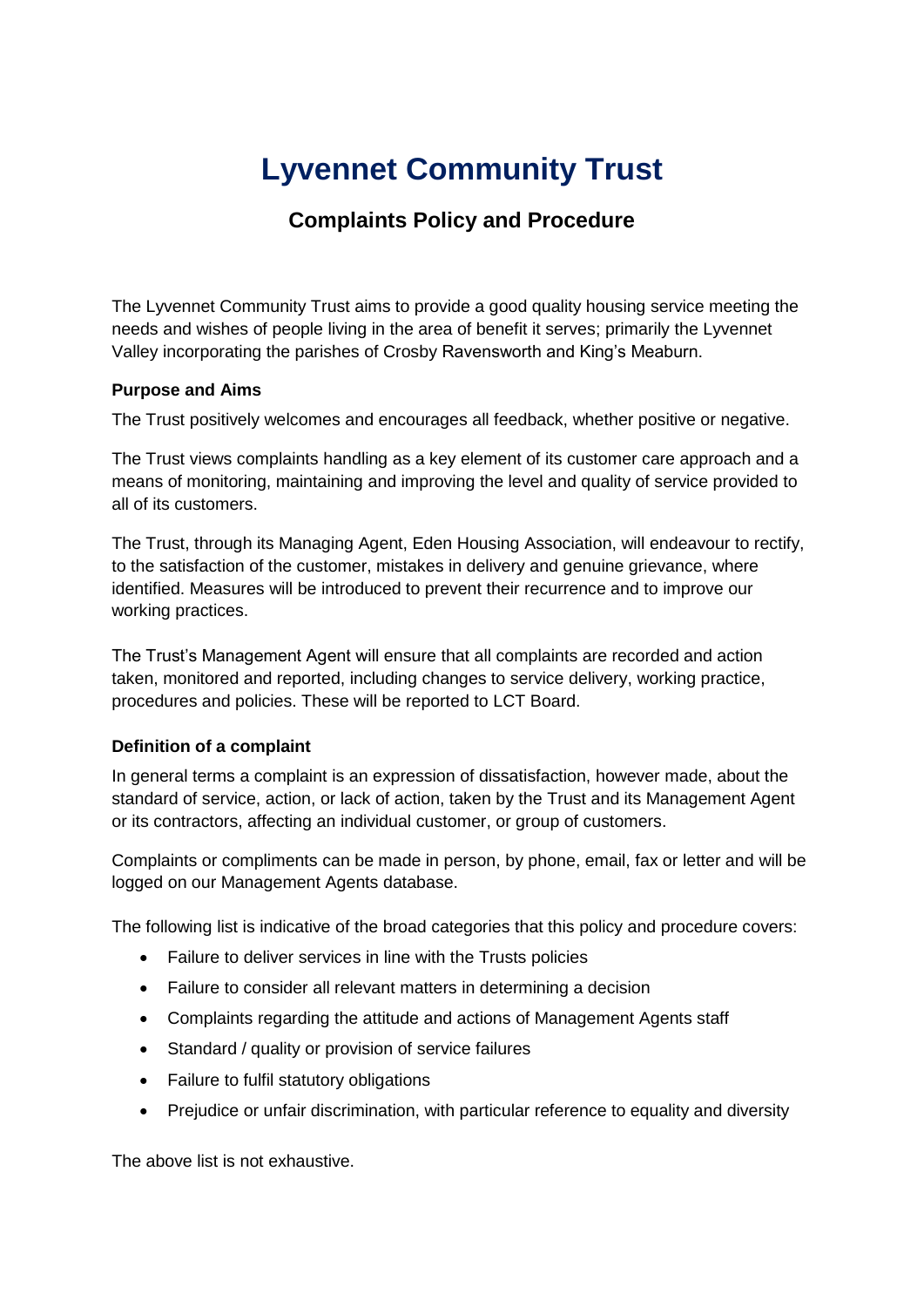# **Lyvennet Community Trust**

### **Complaints Policy and Procedure**

The Lyvennet Community Trust aims to provide a good quality housing service meeting the needs and wishes of people living in the area of benefit it serves; primarily the Lyvennet Valley incorporating the parishes of Crosby Ravensworth and King's Meaburn.

#### **Purpose and Aims**

The Trust positively welcomes and encourages all feedback, whether positive or negative.

The Trust views complaints handling as a key element of its customer care approach and a means of monitoring, maintaining and improving the level and quality of service provided to all of its customers.

The Trust, through its Managing Agent, Eden Housing Association, will endeavour to rectify, to the satisfaction of the customer, mistakes in delivery and genuine grievance, where identified. Measures will be introduced to prevent their recurrence and to improve our working practices.

The Trust's Management Agent will ensure that all complaints are recorded and action taken, monitored and reported, including changes to service delivery, working practice, procedures and policies. These will be reported to LCT Board.

#### **Definition of a complaint**

In general terms a complaint is an expression of dissatisfaction, however made, about the standard of service, action, or lack of action, taken by the Trust and its Management Agent or its contractors, affecting an individual customer, or group of customers.

Complaints or compliments can be made in person, by phone, email, fax or letter and will be logged on our Management Agents database.

The following list is indicative of the broad categories that this policy and procedure covers:

- Failure to deliver services in line with the Trusts policies
- Failure to consider all relevant matters in determining a decision
- Complaints regarding the attitude and actions of Management Agents staff
- Standard / quality or provision of service failures
- Failure to fulfil statutory obligations
- Prejudice or unfair discrimination, with particular reference to equality and diversity

The above list is not exhaustive.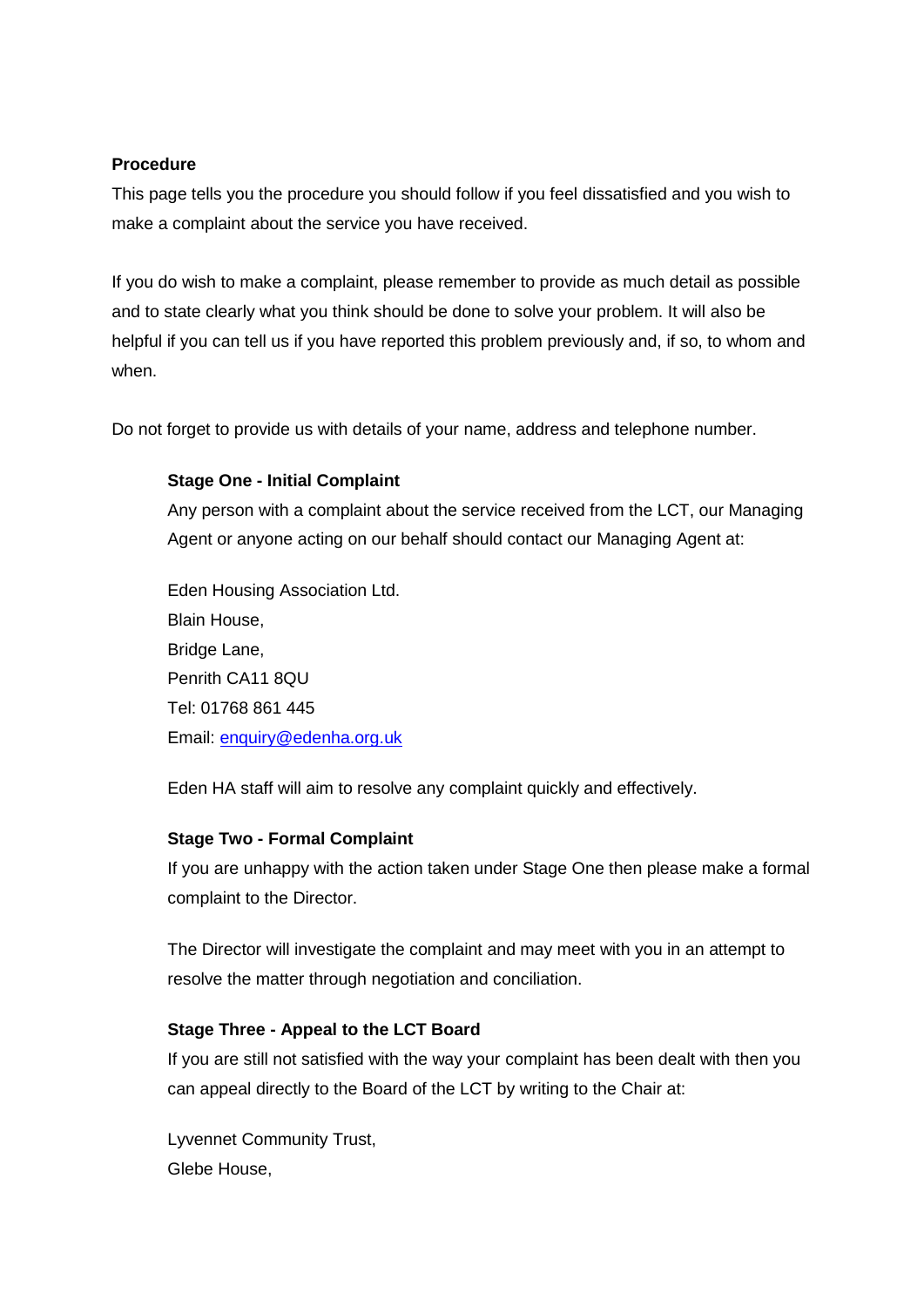#### **Procedure**

This page tells you the procedure you should follow if you feel dissatisfied and you wish to make a complaint about the service you have received.

If you do wish to make a complaint, please remember to provide as much detail as possible and to state clearly what you think should be done to solve your problem. It will also be helpful if you can tell us if you have reported this problem previously and, if so, to whom and when.

Do not forget to provide us with details of your name, address and telephone number.

#### **Stage One - Initial Complaint**

Any person with a complaint about the service received from the LCT, our Managing Agent or anyone acting on our behalf should contact our Managing Agent at:

Eden Housing Association Ltd. Blain House, Bridge Lane, Penrith CA11 8QU Tel: 01768 861 445 Email: [enquiry@edenha.org.uk](mailto:enquiry@edenha.org.uk)

Eden HA staff will aim to resolve any complaint quickly and effectively.

#### **Stage Two - Formal Complaint**

If you are unhappy with the action taken under Stage One then please make a formal complaint to the Director.

The Director will investigate the complaint and may meet with you in an attempt to resolve the matter through negotiation and conciliation.

#### **Stage Three - Appeal to the LCT Board**

If you are still not satisfied with the way your complaint has been dealt with then you can appeal directly to the Board of the LCT by writing to the Chair at:

Lyvennet Community Trust, Glebe House,